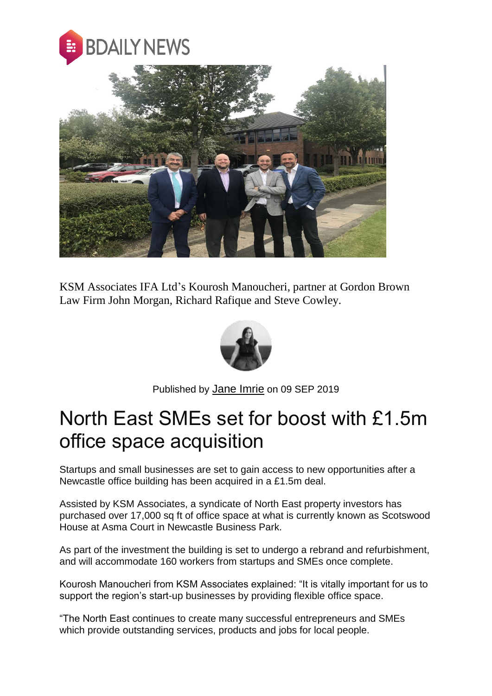



KSM Associates IFA Ltd's Kourosh Manoucheri, partner at Gordon Brown Law Firm John Morgan, Richard Rafique and Steve Cowley.



Published by [Jane Imrie](https://bdaily.co.uk/profile/jane-imrie) on 09 SEP 2019

## North East SMEs set for boost with £1.5m office space acquisition

Startups and small businesses are set to gain access to new opportunities after a Newcastle office building has been acquired in a £1.5m deal.

Assisted by KSM Associates, a syndicate of North East property investors has purchased over 17,000 sq ft of office space at what is currently known as Scotswood House at Asma Court in Newcastle Business Park.

As part of the investment the building is set to undergo a rebrand and refurbishment, and will accommodate 160 workers from startups and SMEs once complete.

Kourosh Manoucheri from KSM Associates explained: "It is vitally important for us to support the region's start-up businesses by providing flexible office space.

"The North East continues to create many successful entrepreneurs and SMEs which provide outstanding services, products and jobs for local people.